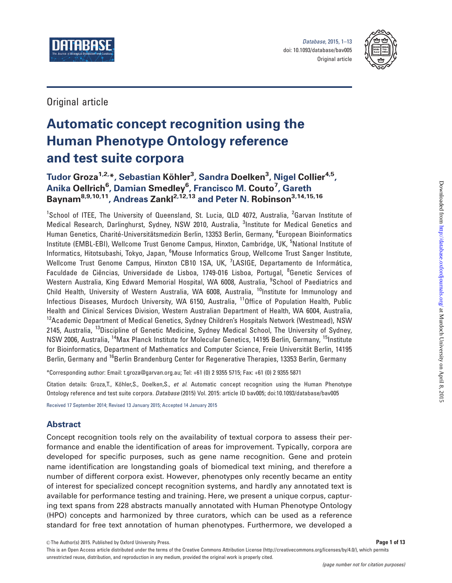

Database, 2015, 1–13 doi: 10.1093/database/bav005 Original article



Original article

# Automatic concept recognition using the Human Phenotype Ontology reference and test suite corpora

# Tudor Groza<sup>1,2,</sup>\*, Sebastian Köhler<sup>3</sup>, Sandra Doelken<sup>3</sup>, Nigel Collier<sup>4,5</sup>, Anika Oellrich<sup>6</sup>, Damian Smedley<sup>6</sup>, Francisco M. Couto<sup>7</sup>, Gareth Baynam<sup>8,9,10,11</sup>, Andreas Zankl<sup>2,12,13</sup> and Peter N. Robinson<sup>3,14,15,16</sup>

<sup>1</sup>School of ITEE, The University of Queensland, St. Lucia, QLD 4072, Australia, <sup>2</sup>Garvan Institute of Medical Research, Darlinghurst, Sydney, NSW 2010, Australia, <sup>3</sup>Institute for Medical Genetics and Human Genetics, Charité-Universitätsmedizin Berlin, 13353 Berlin, Germany, <sup>4</sup>European Bioinformatics Institute (EMBL-EBI), Wellcome Trust Genome Campus, Hinxton, Cambridge, UK, <sup>5</sup>National Institute of Informatics, Hitotsubashi, Tokyo, Japan, <sup>6</sup>Mouse Informatics Group, Wellcome Trust Sanger Institute, Wellcome Trust Genome Campus, Hinxton CB10 1SA, UK, <sup>7</sup>LASIGE, Departamento de Informática, Faculdade de Ciências, Universidade de Lisboa, 1749-016 Lisboa, Portugal, <sup>8</sup>Genetic Services of Western Australia, King Edward Memorial Hospital, WA 6008, Australia, <sup>9</sup>School of Paediatrics and Child Health, University of Western Australia, WA 6008, Australia, <sup>10</sup>Institute for Immunology and Infectious Diseases, Murdoch University, WA 6150, Australia, 11Office of Population Health, Public Health and Clinical Services Division, Western Australian Department of Health, WA 6004, Australia, <sup>12</sup>Academic Department of Medical Genetics, Sydney Children's Hospitals Network (Westmead), NSW 2145. Australia, <sup>13</sup>Discipline of Genetic Medicine, Sydney Medical School, The University of Sydney, NSW 2006, Australia, <sup>14</sup>Max Planck Institute for Molecular Genetics, 14195 Berlin, Germany, <sup>15</sup>Institute for Bioinformatics, Department of Mathematics and Computer Science, Freie Universität Berlin, 14195 Berlin, Germany and <sup>16</sup>Berlin Brandenburg Center for Regenerative Therapies, 13353 Berlin, Germany

\*Corresponding author: Email: t.groza@garvan.org.au; Tel: +61 (0) 2 9355 5715; Fax: +61 (0) 2 9355 5871

Citation details: Groza, T., Köhler, S., Doelken, S., et al. Automatic concept recognition using the Human Phenotype Ontology reference and test suite corpora. Database (2015) Vol. 2015: article ID bav005; doi:10.1093/database/bav005

Received 17 September 2014; Revised 13 January 2015; Accepted 14 January 2015

# Abstract

Concept recognition tools rely on the availability of textual corpora to assess their performance and enable the identification of areas for improvement. Typically, corpora are developed for specific purposes, such as gene name recognition. Gene and protein name identification are longstanding goals of biomedical text mining, and therefore a number of different corpora exist. However, phenotypes only recently became an entity of interest for specialized concept recognition systems, and hardly any annotated text is available for performance testing and training. Here, we present a unique corpus, capturing text spans from 228 abstracts manually annotated with Human Phenotype Ontology (HPO) concepts and harmonized by three curators, which can be used as a reference standard for free text annotation of human phenotypes. Furthermore, we developed a

 $\heartsuit$  The Author(s) 2015. Published by Oxford University Press.  $\blacksquare$ 

This is an Open Access article distributed under the terms of the Creative Commons Attribution License (http://creativecommons.org/licenses/by/4.0/), which permits unrestricted reuse, distribution, and reproduction in any medium, provided the original work is properly cited.

Downloaded from http://database.oxfordjournals.org/ at Murdoch University on April 8, 2015 Downloaded from <http://database.oxfordjournals.org/> at Murdoch University on April 8, 2015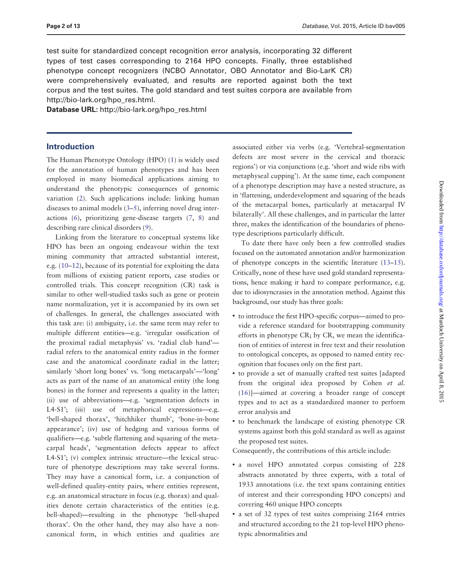test suite for standardized concept recognition error analysis, incorporating 32 different types of test cases corresponding to 2164 HPO concepts. Finally, three established phenotype concept recognizers (NCBO Annotator, OBO Annotator and Bio-LarK CR) were comprehensively evaluated, and results are reported against both the text corpus and the test suites. The gold standard and test suites corpora are available from [http://bio-lark.org/hpo\\_res.html.](http://bio-lark.org/hpo_res.html)

Database URL: [http://bio-lark.org/hpo\\_res.html](http://bio-lark.org/hpo_res.html)

# Introduction

The Human Phenotype Ontology (HPO) ([1\)](#page-11-0) is widely used for the annotation of human phenotypes and has been employed in many biomedical applications aiming to understand the phenotypic consequences of genomic variation [\(2](#page-11-0)). Such applications include: linking human diseases to animal models ([3](#page-11-0)–[5\)](#page-11-0), inferring novel drug interactions ([6\)](#page-11-0), prioritizing gene-disease targets ([7,](#page-11-0) [8\)](#page-11-0) and describing rare clinical disorders ([9\)](#page-11-0).

Linking from the literature to conceptual systems like HPO has been an ongoing endeavour within the text mining community that attracted substantial interest, e.g. ([10–12\)](#page-12-0), because of its potential for exploiting the data from millions of existing patient reports, case studies or controlled trials. This concept recognition (CR) task is similar to other well-studied tasks such as gene or protein name normalization, yet it is accompanied by its own set of challenges. In general, the challenges associated with this task are: (i) ambiguity, i.e. the same term may refer to multiple different entities—e.g. 'irregular ossification of the proximal radial metaphysis' vs. 'radial club hand' radial refers to the anatomical entity radius in the former case and the anatomical coordinate radial in the latter; similarly 'short long bones' vs. 'long metacarpals'—'long' acts as part of the name of an anatomical entity (the long bones) in the former and represents a quality in the latter; (ii) use of abbreviations—e.g. 'segmentation defects in L4-S1'; (iii) use of metaphorical expressions-e.g. 'bell-shaped thorax', 'hitchhiker thumb', 'bone-in-bone appearance'; (iv) use of hedging and various forms of qualifiers—e.g. 'subtle flattening and squaring of the metacarpal heads', 'segmentation defects appear to affect L4-S1'; (v) complex intrinsic structure—the lexical structure of phenotype descriptions may take several forms. They may have a canonical form, i.e. a conjunction of well-defined quality-entity pairs, where entities represent, e.g. an anatomical structure in focus (e.g. thorax) and qualities denote certain characteristics of the entities (e.g. bell-shaped)—resulting in the phenotype 'bell-shaped thorax'. On the other hand, they may also have a noncanonical form, in which entities and qualities are

associated either via verbs (e.g. 'Vertebral-segmentation defects are most severe in the cervical and thoracic regions') or via conjunctions (e.g. 'short and wide ribs with metaphyseal cupping'). At the same time, each component of a phenotype description may have a nested structure, as in 'flattening, underdevelopment and squaring of the heads of the metacarpal bones, particularly at metacarpal IV bilaterally'. All these challenges, and in particular the latter three, makes the identification of the boundaries of phenotype descriptions particularly difficult.

To date there have only been a few controlled studies focused on the automated annotation and/or harmonization of phenotype concepts in the scientific literature [\(13](#page-12-0)–[15\)](#page-12-0). Critically, none of these have used gold standard representations, hence making it hard to compare performance, e.g. due to idiosyncrasies in the annotation method. Against this background, our study has three goals:

- to introduce the first HPO-specific corpus—aimed to provide a reference standard for bootstrapping community efforts in phenotype CR; by CR, we mean the identification of entities of interest in free text and their resolution to ontological concepts, as opposed to named entity recognition that focuses only on the first part.
- to provide a set of manually crafted test suites [adapted from the original idea proposed by Cohen et al. [\(16](#page-12-0))]—aimed at covering a broader range of concept types and to act as a standardized manner to perform error analysis and
- to benchmark the landscape of existing phenotype CR systems against both this gold standard as well as against the proposed test suites.

Consequently, the contributions of this article include:

- a novel HPO annotated corpus consisting of 228 abstracts annotated by three experts, with a total of 1933 annotations (i.e. the text spans containing entities of interest and their corresponding HPO concepts) and covering 460 unique HPO concepts
- a set of 32 types of test suites comprising 2164 entries and structured according to the 21 top-level HPO phenotypic abnormalities and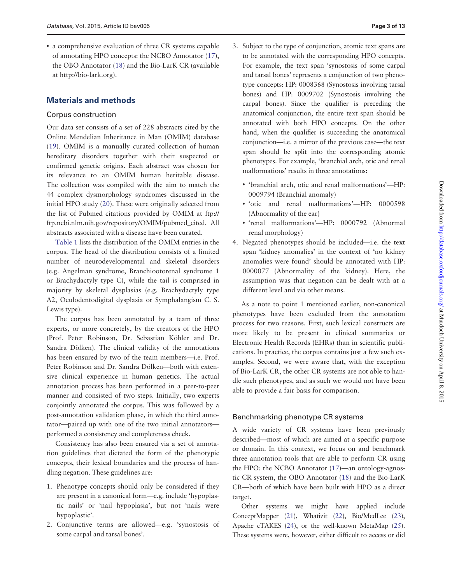• a comprehensive evaluation of three CR systems capable of annotating HPO concepts: the NCBO Annotator [\(17](#page-12-0)), the OBO Annotator [\(18](#page-12-0)) and the Bio-LarK CR (available at [http://bio-lark.org\)](http://bio-lark.org).

# Materials and methods

#### Corpus construction

Our data set consists of a set of 228 abstracts cited by the Online Mendelian Inheritance in Man (OMIM) database [\(19](#page-12-0)). OMIM is a manually curated collection of human hereditary disorders together with their suspected or confirmed genetic origins. Each abstract was chosen for its relevance to an OMIM human heritable disease. The collection was compiled with the aim to match the 44 complex dysmorphology syndromes discussed in the initial HPO study ([20\)](#page-12-0). These were originally selected from the list of Pubmed citations provided by OMIM at [ftp://](ftp://ftp.ncbi.nlm.nih.gov/repository/OMIM/pubmed_cited) [ftp.ncbi.nlm.nih.gov/repository/OMIM/pubmed\\_cited.](ftp://ftp.ncbi.nlm.nih.gov/repository/OMIM/pubmed_cited) All abstracts associated with a disease have been curated.

[Table 1](#page-3-0) lists the distribution of the OMIM entries in the corpus. The head of the distribution consists of a limited number of neurodevelopmental and skeletal disorders (e.g. Angelman syndrome, Branchiootorenal syndrome 1 or Brachydactyly type C), while the tail is comprised in majority by skeletal dysplasias (e.g. Brachydactyly type A2, Oculodentodigital dysplasia or Symphalangism C. S. Lewis type).

The corpus has been annotated by a team of three experts, or more concretely, by the creators of the HPO (Prof. Peter Robinson, Dr. Sebastian Köhler and Dr. Sandra Dölken). The clinical validity of the annotations has been ensured by two of the team members—i.e. Prof. Peter Robinson and Dr. Sandra Dölken—both with extensive clinical experience in human genetics. The actual annotation process has been performed in a peer-to-peer manner and consisted of two steps. Initially, two experts conjointly annotated the corpus. This was followed by a post-annotation validation phase, in which the third annotator—paired up with one of the two initial annotators performed a consistency and completeness check.

Consistency has also been ensured via a set of annotation guidelines that dictated the form of the phenotypic concepts, their lexical boundaries and the process of handling negation. These guidelines are:

- 1. Phenotype concepts should only be considered if they are present in a canonical form—e.g. include 'hypoplastic nails' or 'nail hypoplasia', but not 'nails were hypoplastic'.
- 2. Conjunctive terms are allowed—e.g. 'synostosis of some carpal and tarsal bones'.
- 3. Subject to the type of conjunction, atomic text spans are to be annotated with the corresponding HPO concepts. For example, the text span 'synostosis of some carpal and tarsal bones' represents a conjunction of two phenotype concepts: HP: 0008368 (Synostosis involving tarsal bones) and HP: 0009702 (Synostosis involving the carpal bones). Since the qualifier is preceding the anatomical conjunction, the entire text span should be annotated with both HPO concepts. On the other hand, when the qualifier is succeeding the anatomical conjunction—i.e. a mirror of the previous case—the text span should be split into the corresponding atomic phenotypes. For example, 'branchial arch, otic and renal malformations' results in three annotations:
	- 'branchial arch, otic and renal malformations'—HP: 0009794 (Branchial anomaly)
	- 'otic and renal malformations'—HP: 0000598 (Abnormality of the ear)
	- 'renal malformations'—HP: 0000792 (Abnormal renal morphology)
- 4. Negated phenotypes should be included—i.e. the text span 'kidney anomalies' in the context of 'no kidney anomalies were found' should be annotated with HP: 0000077 (Abnormality of the kidney). Here, the assumption was that negation can be dealt with at a different level and via other means.

As a note to point 1 mentioned earlier, non-canonical phenotypes have been excluded from the annotation process for two reasons. First, such lexical constructs are more likely to be present in clinical summaries or Electronic Health Records (EHRs) than in scientific publications. In practice, the corpus contains just a few such examples. Second, we were aware that, with the exception of Bio-LarK CR, the other CR systems are not able to handle such phenotypes, and as such we would not have been able to provide a fair basis for comparison.

#### Benchmarking phenotype CR systems

A wide variety of CR systems have been previously described—most of which are aimed at a specific purpose or domain. In this context, we focus on and benchmark three annotation tools that are able to perform CR using the HPO: the NCBO Annotator ([17\)](#page-12-0)—an ontology-agnostic CR system, the OBO Annotator ([18](#page-12-0)) and the Bio-LarK CR—both of which have been built with HPO as a direct target.

Other systems we might have applied include ConceptMapper [\(21\)](#page-12-0), Whatizit [\(22](#page-12-0)), Bio/MedLee [\(23\)](#page-12-0), Apache cTAKES ([24](#page-12-0)), or the well-known MetaMap [\(25\)](#page-12-0). These systems were, however, either difficult to access or did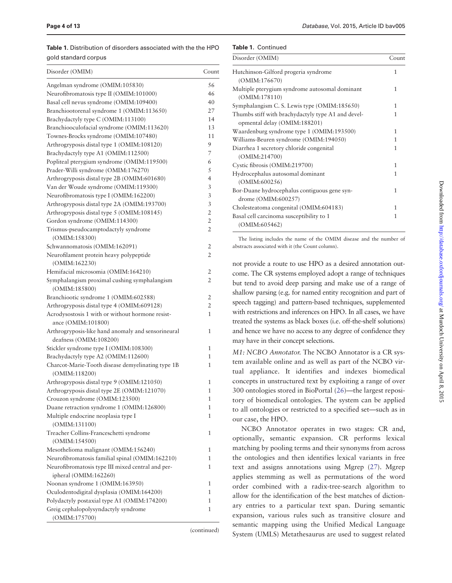<span id="page-3-0"></span>Table 1. Distribution of disorders associated with the the HPO gold standard corpus

| Disorder (OMIM)                                                              | Count          |
|------------------------------------------------------------------------------|----------------|
| Angelman syndrome (OMIM:105830)                                              | 56             |
| Neurofibromatosis type II (OMIM:101000)                                      | 46             |
| Basal cell nevus syndrome (OMIM:109400)                                      | 40             |
| Branchiootorenal syndrome 1 (OMIM:113650)                                    | 27             |
| Brachydactyly type C (OMIM:113100)                                           | 14             |
| Branchiooculofacial syndrome (OMIM:113620)                                   | 13             |
| Townes-Brocks syndrome (OMIM:107480)                                         | 11             |
| Arthrogryposis distal type 1 (OMIM:108120)                                   | 9              |
| Brachydactyly type A1 (OMIM:112500)                                          | 7              |
| Popliteal pterygium syndrome (OMIM:119500)                                   | 6              |
| Prader-Willi syndrome (OMIM:176270)                                          | 5              |
| Arthrogryposis distal type 2B (OMIM:601680)                                  | $\overline{4}$ |
| Van der Woude syndrome (OMIM:119300)                                         | 3              |
| Neurofibromatosis type I (OMIM:162200)                                       | 3              |
| Arthrogryposis distal type 2A (OMIM:193700)                                  | 3              |
| Arthrogryposis distal type 5 (OMIM:108145)                                   | 2              |
| Gordon syndrome (OMIM:114300)                                                | $\overline{2}$ |
| Trismus-pseudocamptodactyly syndrome<br>(OMIM:158300)                        | $\overline{2}$ |
| Schwannomatosis (OMIM:162091)                                                | 2              |
| Neurofilament protein heavy polypeptide<br>(OMIM:162230)                     | 2              |
| Hemifacial microsomia (OMIM:164210)                                          | 2              |
| Symphalangism proximal cushing symphalangism<br>(OMIM:185800)                | 2              |
| Branchiootic syndrome 1 (OMIM:602588)                                        | 2              |
| Arthrogryposis distal type 4 (OMIM:609128)                                   | 2              |
| Acrodysostosis 1 with or without hormone resist-<br>ance (OMIM:101800)       | 1              |
| Arthrogryposis-like hand anomaly and sensorineural<br>deafness (OMIM:108200) | 1              |
| Stickler syndrome type I (OMIM:108300)                                       | 1              |
| Brachydactyly type A2 (OMIM:112600)                                          | 1              |
| Charcot-Marie-Tooth disease demyelinating type 1B                            | 1              |
| (OMIM:118200)                                                                |                |
| Arthrogryposis distal type 9 (OMIM:121050)                                   | 1              |
| Arthrogryposis distal type 2E (OMIM:121070)                                  | $\mathbf{1}$   |
| Crouzon syndrome (OMIM:123500)                                               | 1              |
| Duane retraction syndrome 1 (OMIM:126800)                                    | 1              |
| Multiple endocrine neoplasia type I<br>(OMIM:131100)                         | 1              |
| Treacher Collins-Franceschetti syndrome<br>(OMIM:154500)                     | 1              |
| Mesothelioma malignant (OMIM:156240)                                         | 1              |
| Neurofibromatosis familial spinal (OMIM:162210)                              | 1              |
| Neurofibromatosis type III mixed central and per-                            | 1              |
| ipheral (OMIM:162260)                                                        |                |
| Noonan syndrome 1 (OMIM:163950)                                              | 1              |
| Oculodentodigital dysplasia (OMIM:164200)                                    | 1              |
| Polydactyly postaxial type A1 (OMIM:174200)                                  | 1              |
| Greig cephalopolysyndactyly syndrome<br>(OMIM:175700)                        | 1              |

(continued)

Table 1. Continued

| Disorder (OMIM)                                                                    | Count |
|------------------------------------------------------------------------------------|-------|
| Hutchinson-Gilford progeria syndrome<br>(OMIM:176670)                              | 1     |
| Multiple pterygium syndrome autosomal dominant<br>(OMIM:178110)                    | 1     |
| Symphalangism C. S. Lewis type (OMIM:185650)                                       | 1     |
| Thumbs stiff with brachydactyly type A1 and devel-<br>opmental delay (OMIM:188201) | 1     |
| Waardenburg syndrome type 1 (OMIM:193500)                                          | 1     |
| Williams-Beuren syndrome (OMIM:194050)                                             | 1     |
| Diarrhea 1 secretory chloride congenital<br>(OMIM:214700)                          | 1     |
| Cystic fibrosis (OMIM:219700)                                                      | 1     |
| Hydrocephalus autosomal dominant<br>(OMIM:600256)                                  | 1     |
| Bor-Duane hydrocephalus contiguous gene syn-<br>drome (OMIM:600257)                | 1     |
| Cholesteatoma congenital (OMIM:604183)                                             | 1     |
| Basal cell carcinoma susceptibility to 1<br>(OMIM:605462)                          | 1     |

The listing includes the name of the OMIM disease and the number of abstracts associated with it (the Count column).

not provide a route to use HPO as a desired annotation outcome. The CR systems employed adopt a range of techniques but tend to avoid deep parsing and make use of a range of shallow parsing (e.g. for named entity recognition and part of speech tagging) and pattern-based techniques, supplemented with restrictions and inferences on HPO. In all cases, we have treated the systems as black boxes (i.e. off-the-shelf solutions) and hence we have no access to any degree of confidence they may have in their concept selections.

M1: NCBO Annotator. The NCBO Annotator is a CR system available online and as well as part of the NCBO virtual appliance. It identifies and indexes biomedical concepts in unstructured text by exploiting a range of over 300 ontologies stored in BioPortal [\(26](#page-12-0))—the largest repository of biomedical ontologies. The system can be applied to all ontologies or restricted to a specified set—such as in our case, the HPO.

NCBO Annotator operates in two stages: CR and, optionally, semantic expansion. CR performs lexical matching by pooling terms and their synonyms from across the ontologies and then identifies lexical variants in free text and assigns annotations using Mgrep [\(27\)](#page-12-0). Mgrep applies stemming as well as permutations of the word order combined with a radix-tree-search algorithm to allow for the identification of the best matches of dictionary entries to a particular text span. During semantic expansion, various rules such as transitive closure and semantic mapping using the Unified Medical Language System (UMLS) Metathesaurus are used to suggest related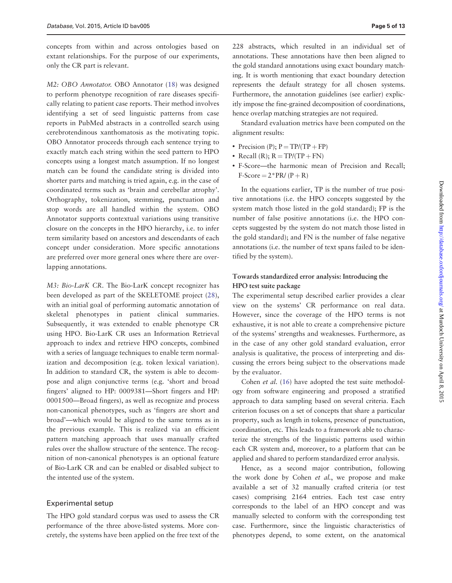concepts from within and across ontologies based on extant relationships. For the purpose of our experiments, only the CR part is relevant.

M2: OBO Annotator. OBO Annotator [\(18\)](#page-12-0) was designed to perform phenotype recognition of rare diseases specifically relating to patient case reports. Their method involves identifying a set of seed linguistic patterns from case reports in PubMed abstracts in a controlled search using cerebrotendinous xanthomatosis as the motivating topic. OBO Annotator proceeds through each sentence trying to exactly match each string within the seed pattern to HPO concepts using a longest match assumption. If no longest match can be found the candidate string is divided into shorter parts and matching is tried again, e.g. in the case of coordinated terms such as 'brain and cerebellar atrophy'. Orthography, tokenization, stemming, punctuation and stop words are all handled within the system. OBO Annotator supports contextual variations using transitive closure on the concepts in the HPO hierarchy, i.e. to infer term similarity based on ancestors and descendants of each concept under consideration. More specific annotations are preferred over more general ones where there are overlapping annotations.

M3: Bio-LarK CR. The Bio-LarK concept recognizer has been developed as part of the SKELETOME project [\(28](#page-12-0)), with an initial goal of performing automatic annotation of skeletal phenotypes in patient clinical summaries. Subsequently, it was extended to enable phenotype CR using HPO. Bio-LarK CR uses an Information Retrieval approach to index and retrieve HPO concepts, combined with a series of language techniques to enable term normalization and decomposition (e.g. token lexical variation). In addition to standard CR, the system is able to decompose and align conjunctive terms (e.g. 'short and broad fingers' aligned to HP: 0009381—Short fingers and HP: 0001500—Broad fingers), as well as recognize and process non-canonical phenotypes, such as 'fingers are short and broad'—which would be aligned to the same terms as in the previous example. This is realized via an efficient pattern matching approach that uses manually crafted rules over the shallow structure of the sentence. The recognition of non-canonical phenotypes is an optional feature of Bio-LarK CR and can be enabled or disabled subject to the intented use of the system.

#### Experimental setup

The HPO gold standard corpus was used to assess the CR performance of the three above-listed systems. More concretely, the systems have been applied on the free text of the

228 abstracts, which resulted in an individual set of annotations. These annotations have then been aligned to the gold standard annotations using exact boundary matching. It is worth mentioning that exact boundary detection represents the default strategy for all chosen systems. Furthermore, the annotation guidelines (see earlier) explicitly impose the fine-grained decomposition of coordinations, hence overlap matching strategies are not required.

Standard evaluation metrics have been computed on the alignment results:

- Precision (P);  $P = TP/(TP + FP)$
- Recall  $(R)$ ;  $R = TP/(TP + FN)$
- F-Score—the harmonic mean of Precision and Recall;  $F-Score = 2*PR/(P + R)$

In the equations earlier, TP is the number of true positive annotations (i.e. the HPO concepts suggested by the system match those listed in the gold standard); FP is the number of false positive annotations (i.e. the HPO concepts suggested by the system do not match those listed in the gold standard); and FN is the number of false negative annotations (i.e. the number of text spans failed to be identified by the system).

# Towards standardized error analysis: Introducing the HPO test suite package

The experimental setup described earlier provides a clear view on the systems' CR performance on real data. However, since the coverage of the HPO terms is not exhaustive, it is not able to create a comprehensive picture of the systems' strengths and weaknesses. Furthermore, as in the case of any other gold standard evaluation, error analysis is qualitative, the process of interpreting and discussing the errors being subject to the observations made by the evaluator.

Cohen et al. [\(16](#page-12-0)) have adopted the test suite methodology from software engineering and proposed a stratified approach to data sampling based on several criteria. Each criterion focuses on a set of concepts that share a particular property, such as length in tokens, presence of punctuation, coordination, etc. This leads to a framework able to characterize the strengths of the linguistic patterns used within each CR system and, moreover, to a platform that can be applied and shared to perform standardized error analysis.

Hence, as a second major contribution, following the work done by Cohen et al., we propose and make available a set of 32 manually crafted criteria (or test cases) comprising 2164 entries. Each test case entry corresponds to the label of an HPO concept and was manually selected to conform with the corresponding test case. Furthermore, since the linguistic characteristics of phenotypes depend, to some extent, on the anatomical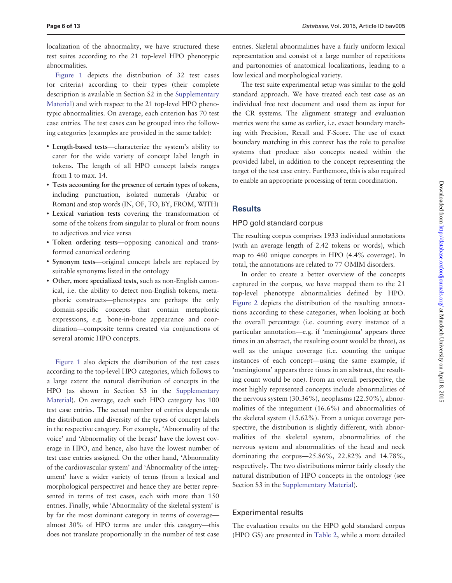Page 6 of 13 Database, Vol. 2015, Article ID bav005

localization of the abnormality, we have structured these test suites according to the 21 top-level HPO phenotypic abnormalities.

[Figure 1](#page-6-0) depicts the distribution of 32 test cases (or criteria) according to their types (their complete description is available in Section S2 in the [Supplementary](http://database.oxfordjournals.org/lookup/suppl/doi:10.1093/database/bav005/-/DC1) [Material\)](http://database.oxfordjournals.org/lookup/suppl/doi:10.1093/database/bav005/-/DC1) and with respect to the 21 top-level HPO phenotypic abnormalities. On average, each criterion has 70 test case entries. The test cases can be grouped into the following categories (examples are provided in the same table):

- Length-based tests—characterize the system's ability to cater for the wide variety of concept label length in tokens. The length of all HPO concept labels ranges from 1 to max. 14.
- Tests accounting for the presence of certain types of tokens, including punctuation, isolated numerals (Arabic or Roman) and stop words (IN, OF, TO, BY, FROM, WITH)
- Lexical variation tests covering the transformation of some of the tokens from singular to plural or from nouns to adjectives and vice versa
- Token ordering tests—opposing canonical and transformed canonical ordering
- Synonym tests—original concept labels are replaced by suitable synonyms listed in the ontology
- Other, more specialized tests, such as non-English canonical, i.e. the ability to detect non-English tokens, metaphoric constructs—phenotypes are perhaps the only domain-specific concepts that contain metaphoric expressions, e.g. bone-in-bone appearance and coordination—composite terms created via conjunctions of several atomic HPO concepts.

[Figure 1](#page-6-0) also depicts the distribution of the test cases according to the top-level HPO categories, which follows to a large extent the natural distribution of concepts in the HPO (as shown in Section S3 in the [Supplementary](http://database.oxfordjournals.org/lookup/suppl/doi:10.1093/database/bav005/-/DC1) [Material\)](http://database.oxfordjournals.org/lookup/suppl/doi:10.1093/database/bav005/-/DC1). On average, each such HPO category has 100 test case entries. The actual number of entries depends on the distribution and diversity of the types of concept labels in the respective category. For example, 'Abnormality of the voice' and 'Abnormality of the breast' have the lowest coverage in HPO, and hence, also have the lowest number of test case entries assigned. On the other hand, 'Abnormality of the cardiovascular system' and 'Abnormality of the integument' have a wider variety of terms (from a lexical and morphological perspective) and hence they are better represented in terms of test cases, each with more than 150 entries. Finally, while 'Abnormality of the skeletal system' is by far the most dominant category in terms of coverage almost 30% of HPO terms are under this category—this does not translate proportionally in the number of test case

entries. Skeletal abnormalities have a fairly uniform lexical representation and consist of a large number of repetitions and partonomies of anatomical localizations, leading to a low lexical and morphological variety.

The test suite experimental setup was similar to the gold standard approach. We have treated each test case as an individual free text document and used them as input for the CR systems. The alignment strategy and evaluation metrics were the same as earlier, i.e. exact boundary matching with Precision, Recall and F-Score. The use of exact boundary matching in this context has the role to penalize systems that produce also concepts nested within the provided label, in addition to the concept representing the target of the test case entry. Furthemore, this is also required to enable an appropriate processing of term coordination.

# **Results**

#### HPO gold standard corpus

The resulting corpus comprises 1933 individual annotations (with an average length of 2.42 tokens or words), which map to 460 unique concepts in HPO (4.4% coverage). In total, the annotations are related to 77 OMIM disorders.

In order to create a better overview of the concepts captured in the corpus, we have mapped them to the 21 top-level phenotype abnormalities defined by HPO. [Figure 2](#page-7-0) depicts the distribution of the resulting annotations according to these categories, when looking at both the overall percentage (i.e. counting every instance of a particular annotation—e.g. if 'meningioma' appears three times in an abstract, the resulting count would be three), as well as the unique coverage (i.e. counting the unique instances of each concept—using the same example, if 'meningioma' appears three times in an abstract, the resulting count would be one). From an overall perspective, the most highly represented concepts include abnormalities of the nervous system (30.36%), neoplasms (22.50%), abnormalities of the integument (16.6%) and abnormalities of the skeletal system (15.62%). From a unique coverage perspective, the distribution is slightly different, with abnormalities of the skeletal system, abnormalities of the nervous system and abnormalities of the head and neck dominating the corpus—25.86%, 22.82% and 14.78%, respectively. The two distributions mirror fairly closely the natural distribution of HPO concepts in the ontology (see Section S3 in the [Supplementary Material](http://database.oxfordjournals.org/lookup/suppl/doi:10.1093/database/bav005/-/DC1)).

## Experimental results

The evaluation results on the HPO gold standard corpus (HPO GS) are presented in [Table 2,](#page-7-0) while a more detailed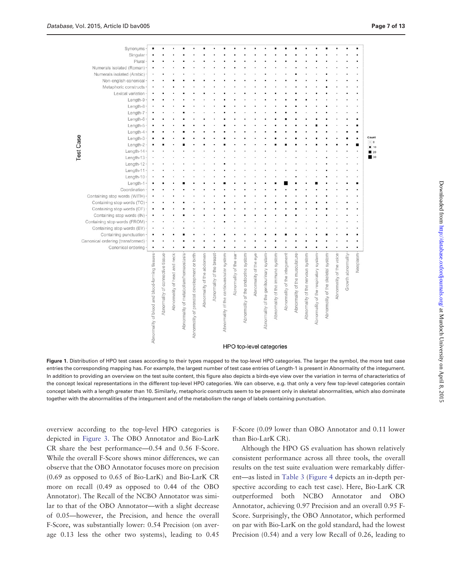<span id="page-6-0"></span>

Figure 1. Distribution of HPO test cases according to their types mapped to the top-level HPO categories. The larger the symbol, the more test case entries the corresponding mapping has. For example, the largest number of test case entries of Length-1 is present in Abnormality of the integument. In addition to providing an overview on the test suite content, this figure also depicts a birds-eye view over the variation in terms of characteristics of the concept lexical representations in the different top-level HPO categories. We can observe, e.g. that only a very few top-level categories contain concept labels with a length greater than 10. Similarly, metaphoric constructs seem to be present only in skeletal abnormalities, which also dominate together with the abnormalities of the integument and of the metabolism the range of labels containing punctuation.

overview according to the top-level HPO categories is depicted in [Figure 3.](#page-8-0) The OBO Annotator and Bio-LarK CR share the best performance—0.54 and 0.56 F-Score. While the overall F-Score shows minor differences, we can observe that the OBO Annotator focuses more on precision (0.69 as opposed to 0.65 of Bio-LarK) and Bio-LarK CR more on recall (0.49 as opposed to 0.44 of the OBO Annotator). The Recall of the NCBO Annotator was similar to that of the OBO Annotator—with a slight decrease of 0.05—however, the Precision, and hence the overall F-Score, was substantially lower: 0.54 Precision (on average 0.13 less the other two systems), leading to 0.45 F-Score (0.09 lower than OBO Annotator and 0.11 lower than Bio-LarK CR).

Although the HPO GS evaluation has shown relatively consistent performance across all three tools, the overall results on the test suite evaluation were remarkably different—as listed in [Table 3](#page-8-0) [\(Figure 4](#page-10-0) depicts an in-depth perspective according to each test case). Here, Bio-LarK CR outperformed both NCBO Annotator and OBO Annotator, achieving 0.97 Precision and an overall 0.95 F-Score. Surprisingly, the OBO Annotator, which performed on par with Bio-LarK on the gold standard, had the lowest Precision (0.54) and a very low Recall of 0.26, leading to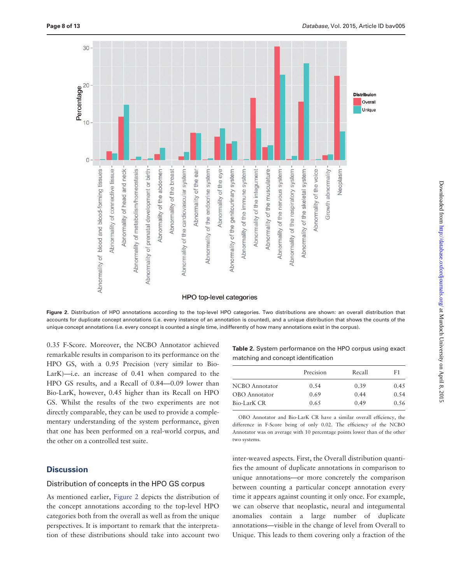<span id="page-7-0"></span>

Figure 2. Distribution of HPO annotations according to the top-level HPO categories. Two distributions are shown: an overall distribution that accounts for duplicate concept annotations (i.e. every instance of an annotation is counted), and a unique distribution that shows the counts of the unique concept annotations (i.e. every concept is counted a single time, indifferently of how many annotations exist in the corpus).

0.35 F-Score. Moreover, the NCBO Annotator achieved remarkable results in comparison to its performance on the HPO GS, with a 0.95 Precision (very similar to Bio-LarK)—i.e. an increase of 0.41 when compared to the HPO GS results, and a Recall of 0.84—0.09 lower than Bio-LarK, however, 0.45 higher than its Recall on HPO GS. Whilst the results of the two experiments are not directly comparable, they can be used to provide a complementary understanding of the system performance, given that one has been performed on a real-world corpus, and the other on a controlled test suite.

# **Discussion**

## Distribution of concepts in the HPO GS corpus

As mentioned earlier, Figure 2 depicts the distribution of the concept annotations according to the top-level HPO categories both from the overall as well as from the unique perspectives. It is important to remark that the interpretation of these distributions should take into account two

|  | <b>Table 2.</b> System performance on the HPO corpus using exact |  |  |  |
|--|------------------------------------------------------------------|--|--|--|
|  | matching and concept identification                              |  |  |  |

|                      | Precision | Recall | F1   |
|----------------------|-----------|--------|------|
| NCBO Annotator       | 0.54      | 0.39   | 0.45 |
| <b>OBO</b> Annotator | 0.69      | 0.44   | 0.54 |
| Bio-LarK CR          | 0.65      | 0.49   | 0.56 |
|                      |           |        |      |

OBO Annotator and Bio-LarK CR have a similar overall efficiency, the difference in F-Score being of only 0.02. The efficiency of the NCBO Annotator was on average with 10 percentage points lower than of the other two systems.

inter-weaved aspects. First, the Overall distribution quantifies the amount of duplicate annotations in comparison to unique annotations—or more concretely the comparison between counting a particular concept annotation every time it appears against counting it only once. For example, we can observe that neoplastic, neural and integumental anomalies contain a large number of duplicate annotations—visible in the change of level from Overall to Unique. This leads to them covering only a fraction of the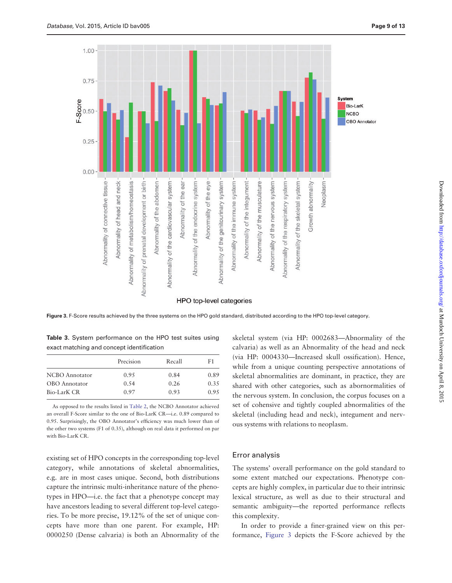<span id="page-8-0"></span>

Figure 3. F-Score results achieved by the three systems on the HPO gold standard, distributed according to the HPO top-level category.

Table 3. System performance on the HPO test suites using exact matching and concept identification

|                      | Precision | Recall | F1   |
|----------------------|-----------|--------|------|
| NCBO Annotator       | 0.95      | 0.84   | 0.89 |
| <b>OBO</b> Annotator | 0.54      | 0.26   | 0.35 |
| Bio-LarK CR          | 0.97      | 0.93   | 0.95 |

As opposed to the results listed in [Table 2,](#page-7-0) the NCBO Annotator achieved an overall F-Score similar to the one of Bio-LarK CR—i.e. 0.89 compared to 0.95. Surprisingly, the OBO Annotator's efficiency was much lower than of the other two systems (F1 of 0.35), although on real data it performed on par with Bio-LarK CR.

existing set of HPO concepts in the corresponding top-level category, while annotations of skeletal abnormalities, e.g. are in most cases unique. Second, both distributions capture the intrinsic multi-inheritance nature of the phenotypes in HPO—i.e. the fact that a phenotype concept may have ancestors leading to several different top-level categories. To be more precise, 19.12% of the set of unique concepts have more than one parent. For example, HP: 0000250 (Dense calvaria) is both an Abnormality of the

skeletal system (via HP: 0002683—Abnormality of the calvaria) as well as an Abnormality of the head and neck (via HP: 0004330—Increased skull ossification). Hence, while from a unique counting perspective annotations of skeletal abnormalities are dominant, in practice, they are shared with other categories, such as abornormalities of the nervous system. In conclusion, the corpus focuses on a set of cohensive and tightly coupled abnormalities of the skeletal (including head and neck), integument and nervous systems with relations to neoplasm.

# Error analysis

The systems' overall performance on the gold standard to some extent matched our expectations. Phenotype concepts are highly complex, in particular due to their intrinsic lexical structure, as well as due to their structural and semantic ambiguity—the reported performance reflects this complexity.

In order to provide a finer-grained view on this performance, Figure 3 depicts the F-Score achieved by the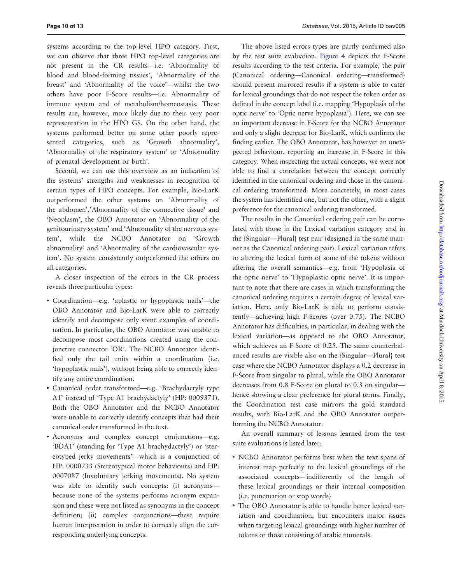systems according to the top-level HPO category. First, we can observe that three HPO top-level categories are not present in the CR results—i.e. 'Abnormality of blood and blood-forming tissues', 'Abnormality of the breast' and 'Abnormality of the voice'—whilst the two others have poor F-Score results—i.e. Abnormality of immune system and of metabolism/homeostasis. These results are, however, more likely due to their very poor representation in the HPO GS. On the other hand, the systems performed better on some other poorly represented categories, such as 'Growth abnormality', 'Abnormality of the respiratory system' or 'Abnormality of prenatal development or birth'.

Second, we can use this overview as an indication of the systems' strengths and weaknesses in recognition of certain types of HPO concepts. For example, Bio-LarK outperformed the other systems on 'Abnormality of the abdomen','Abnormality of the connective tissue' and 'Neoplasm', the OBO Annotator on 'Abnormality of the genitourinary system' and 'Abnormality of the nervous system', while the NCBO Annotator on 'Growth abnormality' and 'Abnormality of the cardiovascular system'. No system consistently outperformed the others on all categories.

A closer inspection of the errors in the CR process reveals three particular types:

- Coordination—e.g. 'aplastic or hypoplastic nails'—the OBO Annotator and Bio-LarK were able to correctly identify and decompose only some examples of coordination. In particular, the OBO Annotator was unable to decompose most coordinations created using the conjunctive connector 'OR'. The NCBO Annotator identified only the tail units within a coordination (i.e. 'hypoplastic nails'), without being able to correctly identify any entire coordination.
- Canonical order transformed—e.g. 'Brachydactyly type A1' instead of 'Type A1 brachydactyly' (HP: 0009371). Both the OBO Annotator and the NCBO Annotator were unable to correctly identify concepts that had their canonical order transformed in the text.
- Acronyms and complex concept conjunctions—e.g. 'BDA1' (standing for 'Type A1 brachydactyly') or 'stereotyped jerky movements'—which is a conjunction of HP: 0000733 (Stereotypical motor behaviours) and HP: 0007087 (Involuntary jerking movements). No system was able to identify such concepts: (i) acronyms because none of the systems performs acronym expansion and these were not listed as synonyms in the concept definition; (ii) complex conjunctions—these require human interpretation in order to correctly align the corresponding underlying concepts.

The above listed errors types are partly confirmed also by the test suite evaluation. [Figure 4](#page-10-0) depicts the F-Score results according to the test criteria. For example, the pair {Canonical ordering—Canonical ordering—transformed} should present mirrored results if a system is able to cater for lexical groundings that do not respect the token order as defined in the concept label (i.e. mapping 'Hypoplasia of the optic nerve' to 'Optic nerve hypoplasia'). Here, we can see an important decrease in F-Score for the NCBO Annotator and only a slight decrease for Bio-LarK, which confirms the finding earlier. The OBO Annotator, has however an unexpected behaviour, reporting an increase in F-Score in this category. When inspecting the actual concepts, we were not able to find a correlation between the concept correctly identified in the canonical ordering and those in the canonical ordering transformed. More concretely, in most cases the system has identified one, but not the other, with a slight preference for the canonical ordering transformed.

The results in the Canonical ordering pair can be correlated with those in the Lexical variation category and in the {Singular—Plural} test pair (designed in the same manner as the Canonical ordering pair). Lexical variation refers to altering the lexical form of some of the tokens without altering the overall semantics—e.g. from 'Hypoplasia of the optic nerve' to 'Hypoplastic optic nerve'. It is important to note that there are cases in which transforming the canonical ordering requires a certain degree of lexical variation. Here, only Bio-LarK is able to perform consistently—achieving high F-Scores (over 0.75). The NCBO Annotator has difficulties, in particular, in dealing with the lexical variation—as opposed to the OBO Annotator, which achieves an F-Score of 0.25. The same counterbalanced results are visible also on the {Singular—Plural} test case where the NCBO Annotator displays a 0.2 decrease in F-Score from singular to plural, while the OBO Annotator decreases from 0.8 F-Score on plural to 0.3 on singular hence showing a clear preference for plural terms. Finally, the Coordination test case mirrors the gold standard results, with Bio-LarK and the OBO Annotator outperforming the NCBO Annotator.

An overall summary of lessons learned from the test suite evaluations is listed later:

- NCBO Annotator performs best when the text spans of interest map perfectly to the lexical groundings of the associated concepts—indifferently of the length of these lexical groundings or their internal composition (i.e. punctuation or stop words)
- The OBO Annotator is able to handle better lexical variation and coordination, but encounters major issues when targeting lexical groundings with higher number of tokens or those consisting of arabic numerals.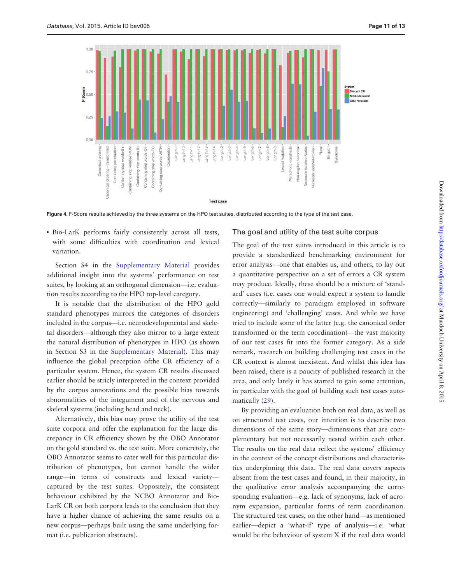<span id="page-10-0"></span>

Figure 4. F-Score results achieved by the three systems on the HPO test suites, distributed according to the type of the test case.

• Bio-LarK performs fairly consistently across all tests, with some difficulties with coordination and lexical variation.

Section S4 in the [Supplementary Material](http://database.oxfordjournals.org/lookup/suppl/doi:10.1093/database/bav005/-/DC1) provides additional insight into the systems' performance on test suites, by looking at an orthogonal dimension—i.e. evaluation results according to the HPO top-level category.

It is notable that the distribution of the HPO gold standard phenotypes mirrors the categories of disorders included in the corpus—i.e. neurodevelopmental and skeletal disorders—although they also mirror to a large extent the natural distribution of phenotypes in HPO (as shown in Section S3 in the [Supplementary Material\)](http://database.oxfordjournals.org/lookup/suppl/doi:10.1093/database/bav005/-/DC1). This may influence the global preception ofthe CR efficiency of a particular system. Hence, the system CR results discussed earlier should be stricly interpreted in the context provided by the corpus annotations and the possible bias towards abnormalities of the integument and of the nervous and skeletal systems (including head and neck).

Alternatively, this bias may prove the utility of the test suite corpora and offer the explanation for the large discrepancy in CR efficiency shown by the OBO Annotator on the gold standard vs. the test suite. More concretely, the OBO Annotator seems to cater well for this particular distribution of phenotypes, but cannot handle the wider range—in terms of constructs and lexical variety captured by the test suites. Oppositely, the consistent behaviour exhibited by the NCBO Annotator and Bio-LarK CR on both corpora leads to the conclusion that they have a higher chance of achieving the same results on a new corpus—perhaps built using the same underlying format (i.e. publication abstracts).

#### The goal and utility of the test suite corpus

The goal of the test suites introduced in this article is to provide a standardized benchmarking environment for error analysis—one that enables us, and others, to lay out a quantitative perspective on a set of errors a CR system may produce. Ideally, these should be a mixture of 'standard' cases (i.e. cases one would expect a system to handle correctly—similarly to paradigm employed in software engineering) and 'challenging' cases. And while we have tried to include some of the latter (e.g. the canonical order transformed or the term coordination)—the vast majority of our test cases fit into the former category. As a side remark, research on building challenging test cases in the CR context is almost inexistent. And whilst this idea has been raised, there is a paucity of published research in the area, and only lately it has started to gain some attention, in particular with the goal of building such test cases automatically [\(29](#page-12-0)).

By providing an evaluation both on real data, as well as on structured test cases, our intention is to describe two dimensions of the same story—dimensions that are complementary but not necessarily nested within each other. The results on the real data reflect the systems' efficiency in the context of the concept distributions and characteristics underpinning this data. The real data covers aspects absent from the test cases and found, in their majority, in the qualitative error analysis accompanying the corresponding evaluation—e.g. lack of synonyms, lack of acronym expansion, particular forms of term coordination. The structured test cases, on the other hand—as mentioned earlier—depict a 'what-if' type of analysis—i.e. 'what would be the behaviour of system X if the real data would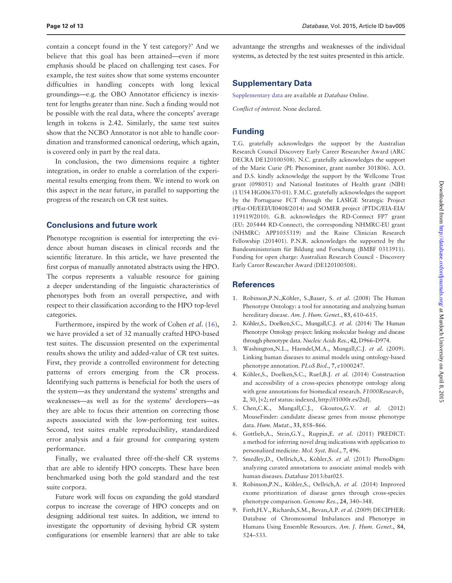<span id="page-11-0"></span>contain a concept found in the Y test category?' And we believe that this goal has been attained—even if more emphasis should be placed on challenging test cases. For example, the test suites show that some systems encounter difficulties in handling concepts with long lexical groundings—e.g. the OBO Annotator efficiency is inexistent for lengths greater than nine. Such a finding would not be possible with the real data, where the concepts' average length in tokens is 2.42. Similarly, the same test suites show that the NCBO Annotator is not able to handle coordination and transformed canonical ordering, which again, is covered only in part by the real data.

In conclusion, the two dimensions require a tighter integration, in order to enable a correlation of the experimental results emerging from them. We intend to work on this aspect in the near future, in parallel to supporting the progress of the research on CR test suites.

# Conclusions and future work

Phenotype recognition is essential for interpreting the evidence about human diseases in clinical records and the scientific literature. In this article, we have presented the first corpus of manually annotated abstracts using the HPO. The corpus represents a valuable resource for gaining a deeper understanding of the linguistic characteristics of phenotypes both from an overall perspective, and with respect to their classification according to the HPO top-level categories.

Furthermore, inspired by the work of Cohen *et al.* [\(16](#page-12-0)), we have provided a set of 32 manually crafted HPO-based test suites. The discussion presented on the experimental results shows the utility and added-value of CR test suites. First, they provide a controlled environment for detecting patterns of errors emerging from the CR process. Identifying such patterns is beneficial for both the users of the system—as they understand the systems' strengths and weaknesses—as well as for the systems' developers—as they are able to focus their attention on correcting those aspects associated with the low-performing test suites. Second, test suites enable reproducibility, standardized error analysis and a fair ground for comparing system performance.

Finally, we evaluated three off-the-shelf CR systems that are able to identify HPO concepts. These have been benchmarked using both the gold standard and the test suite corpora.

Future work will focus on expanding the gold standard corpus to increase the coverage of HPO concepts and on designing additional test suites. In addition, we intend to investigate the opportunity of devising hybrid CR system configurations (or ensemble learners) that are able to take advantange the strengths and weaknesses of the individual systems, as detected by the test suites presented in this article.

## Supplementary Data

[Supplementary data](http://database.oxfordjournals.org/lookup/suppl/doi:10.1093/database/bav005/-/DC1) are available at Database Online.

Conflict of interest. None declared.

# Funding

T.G. gratefully acknowledges the support by the Australian Research Council Discovery Early Career Researcher Award (ARC DECRA DE120100508). N.C. gratefully acknowledges the support of the Marie Curie (PI: Phenominer, grant number 301806). A.O. and D.S. kindly acknowledge the support by the Wellcome Trust grant (098051) and National Institutes of Health grant (NIH) (1 U54 HG006370-01). F.M.C. gratefully acknowledges the support by the Portuguese FCT through the LASIGE Strategic Project (PEst-OE/EEI/UI0408/2014) and SOMER project (PTDC/EIA-EIA/ 119119/2010). G.B. acknowledges the RD-Connect FP7 grant (EU: 205444 RD-Connect), the corresponding NHMRC-EU grant (NHMRC: APP1055319) and the Raine Clinician Research Fellowship (201401). P.N.R. acknowledges the supported by the Bundesministerium für Bildung und Forschung (BMBF 0313911). Funding for open charge: Australian Research Council - Discovery Early Career Researcher Award (DE120100508).

#### **References**

- 1. Robinson, P.N., Köhler, S., Bauer, S. et al. (2008) The Human Phenotype Ontology: a tool for annotating and analyzing human hereditary disease. Am. J. Hum. Genet., 83, 610-615.
- 2. Köhler, S., Doelken, S.C., Mungall, C.J. et al. (2014) The Human Phenotype Ontology project: linking molecular biology and disease through phenotype data. Nucleic Acids Res., 42, D966–D974.
- 3. Washington,N.L., Haendel,M.A., Mungall,C.J. et al. (2009). Linking human diseases to animal models using ontology-based phenotype annotation. PLoS Biol., 7, e1000247.
- 4. Köhler, S., Doelken, S.C., Ruef, B.J. et al. (2014) Construction and accessibility of a cross-species phenotype ontology along with gene annotations for biomedical research. F1000Research, 2, 30, [v2; ref status: indexed,<http://f1000r.es/2td>].
- 5. Chen,C.K., Mungall,C.J., Gkoutos,G.V. et al. (2012) MouseFinder: candidate disease genes from mouse phenotype data. Hum. Mutat., 33, 858–866.
- 6. Gottlieb,A., Stein,G.Y., Ruppin,E. et al. (2011) PREDICT: a method for inferring novel drug indications with application to personalized medicine. Mol. Syst. Biol., 7, 496.
- 7. Smedley, D., Oellrich, A., Köhler, S. et al. (2013) PhenoDigm: analyzing curated annotations to associate animal models with human diseases. Database 2013:bat025.
- 8. Robinson, P.N., Köhler, S., Oellrich, A. et al. (2014) Improved exome prioritization of disease genes through cross-species phenotype comparison. Genome Res., 24, 340–348.
- 9. Firth,H.V., Richards,S.M., Bevan,A.P. et al. (2009) DECIPHER: Database of Chromosomal Imbalances and Phenotype in Humans Using Ensemble Resources. Am. J. Hum. Genet., 84, 524–533.